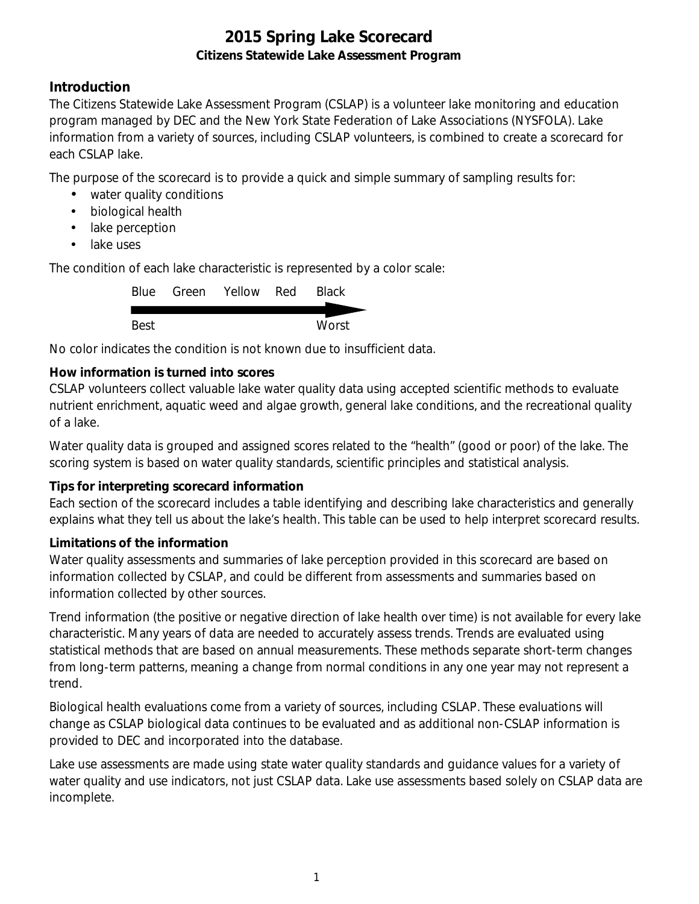### **Introduction**

The Citizens Statewide Lake Assessment Program (CSLAP) is a volunteer lake monitoring and education program managed by DEC and the New York State Federation of Lake Associations (NYSFOLA). Lake information from a variety of sources, including CSLAP volunteers, is combined to create a scorecard for each CSLAP lake.

The purpose of the scorecard is to provide a quick and simple summary of sampling results for:

- water quality conditions
- $\mathcal{L}^{\text{max}}$ biological health
- . lake perception
- L. lake uses

The condition of each lake characteristic is represented by a color scale:

|      | Blue Green Yellow Red | <b>Black</b> |
|------|-----------------------|--------------|
|      |                       |              |
| Best |                       | Worst        |

No color indicates the condition is not known due to insufficient data.

### **How information is turned into scores**

CSLAP volunteers collect valuable lake water quality data using accepted scientific methods to evaluate nutrient enrichment, aquatic weed and algae growth, general lake conditions, and the recreational quality of a lake.

Water quality data is grouped and assigned scores related to the "health" (good or poor) of the lake. The scoring system is based on water quality standards, scientific principles and statistical analysis.

#### **Tips for interpreting scorecard information**

Each section of the scorecard includes a table identifying and describing lake characteristics and generally explains what they tell us about the lake's health. This table can be used to help interpret scorecard results.

#### **Limitations of the information**

Water quality assessments and summaries of lake perception provided in this scorecard are based on information collected by CSLAP, and could be different from assessments and summaries based on information collected by other sources.

Trend information (the positive or negative direction of lake health over time) is not available for every lake characteristic. Many years of data are needed to accurately assess trends. Trends are evaluated using statistical methods that are based on annual measurements. These methods separate short-term changes from long-term patterns, meaning a change from normal conditions in any one year may not represent a trend.

Biological health evaluations come from a variety of sources, including CSLAP. These evaluations will change as CSLAP biological data continues to be evaluated and as additional non-CSLAP information is provided to DEC and incorporated into the database.

Lake use assessments are made using state water quality standards and guidance values for a variety of water quality and use indicators, not just CSLAP data. Lake use assessments based solely on CSLAP data are incomplete.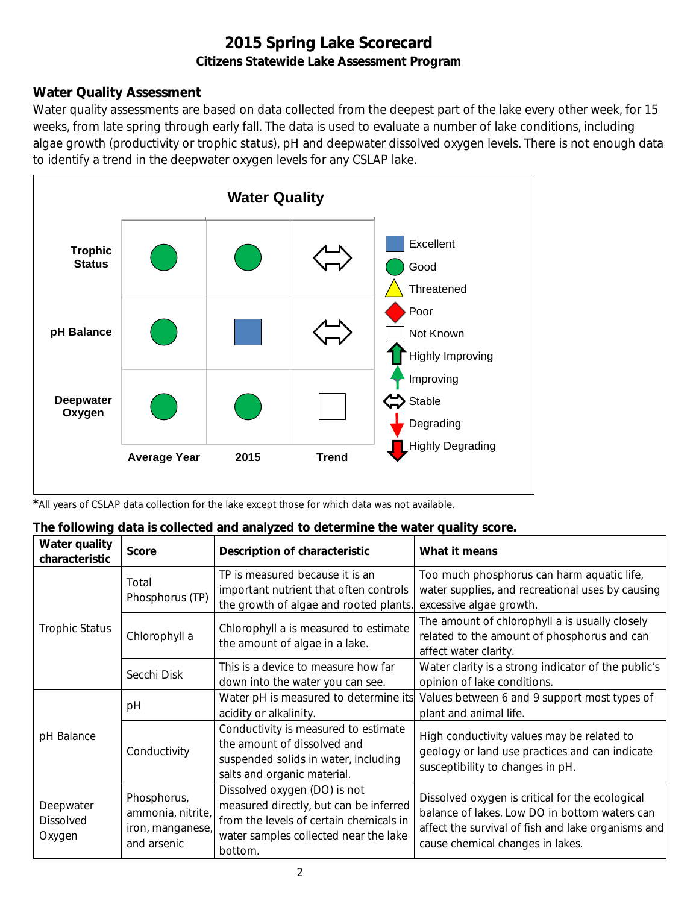### **Water Quality Assessment**

Water quality assessments are based on data collected from the deepest part of the lake every other week, for 15 weeks, from late spring through early fall. The data is used to evaluate a number of lake conditions, including algae growth (productivity or trophic status), pH and deepwater dissolved oxygen levels. There is not enough data to identify a trend in the deepwater oxygen levels for any CSLAP lake.



*\**All years of CSLAP data collection for the lake except those for which data was not available.

|  |  | The following data is collected and analyzed to determine the water quality score. |  |
|--|--|------------------------------------------------------------------------------------|--|
|  |  |                                                                                    |  |

| Water quality<br>characteristic  | <b>Score</b>                                                                             | Description of characteristic                                                                                                                                         | What it means                                                                                                                                                                              |
|----------------------------------|------------------------------------------------------------------------------------------|-----------------------------------------------------------------------------------------------------------------------------------------------------------------------|--------------------------------------------------------------------------------------------------------------------------------------------------------------------------------------------|
|                                  | Total<br>Phosphorus (TP)                                                                 | TP is measured because it is an<br>important nutrient that often controls<br>the growth of algae and rooted plants.                                                   | Too much phosphorus can harm aquatic life,<br>water supplies, and recreational uses by causing<br>excessive algae growth.                                                                  |
| <b>Trophic Status</b>            | Chlorophyll a is measured to estimate<br>Chlorophyll a<br>the amount of algae in a lake. |                                                                                                                                                                       | The amount of chlorophyll a is usually closely<br>related to the amount of phosphorus and can<br>affect water clarity.                                                                     |
|                                  | Secchi Disk                                                                              | This is a device to measure how far<br>down into the water you can see.                                                                                               | Water clarity is a strong indicator of the public's<br>opinion of lake conditions.                                                                                                         |
|                                  | рH                                                                                       | Water pH is measured to determine its<br>acidity or alkalinity.                                                                                                       | Values between 6 and 9 support most types of<br>plant and animal life.                                                                                                                     |
| pH Balance                       | Conductivity                                                                             | Conductivity is measured to estimate<br>the amount of dissolved and<br>suspended solids in water, including<br>salts and organic material.                            | High conductivity values may be related to<br>geology or land use practices and can indicate<br>susceptibility to changes in pH.                                                           |
| Deepwater<br>Dissolved<br>Oxygen | Phosphorus,<br>ammonia, nitrite,<br>iron, manganese,<br>and arsenic                      | Dissolved oxygen (DO) is not<br>measured directly, but can be inferred<br>from the levels of certain chemicals in<br>water samples collected near the lake<br>bottom. | Dissolved oxygen is critical for the ecological<br>balance of lakes. Low DO in bottom waters can<br>affect the survival of fish and lake organisms and<br>cause chemical changes in lakes. |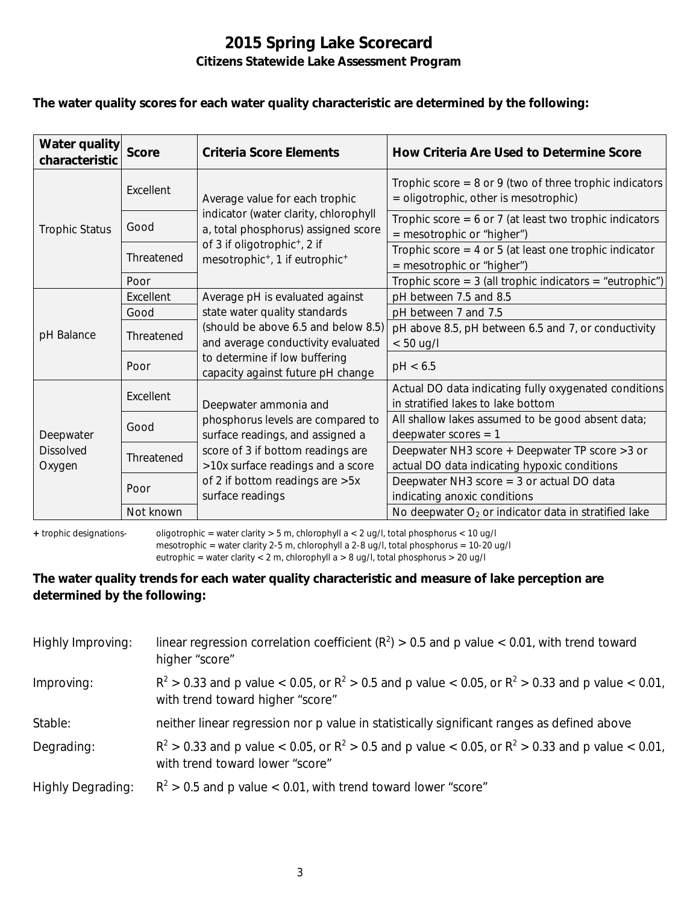#### **The water quality scores for each water quality characteristic are determined by the following:**

| Water quality<br>characteristic         | <b>Score</b> | Criteria Score Elements                                                                            | How Criteria Are Used to Determine Score                                                             |
|-----------------------------------------|--------------|----------------------------------------------------------------------------------------------------|------------------------------------------------------------------------------------------------------|
|                                         | Excellent    | Average value for each trophic                                                                     | Trophic score = $8$ or $9$ (two of three trophic indicators<br>= oligotrophic, other is mesotrophic) |
| <b>Trophic Status</b>                   | Good         | indicator (water clarity, chlorophyll<br>a, total phosphorus) assigned score                       | Trophic score = $6$ or 7 (at least two trophic indicators<br>$=$ mesotrophic or "higher")            |
|                                         | Threatened   | of 3 if oligotrophic <sup>+</sup> , 2 if<br>mesotrophic <sup>+</sup> , 1 if eutrophic <sup>+</sup> | Trophic score = $4$ or $5$ (at least one trophic indicator<br>= mesotrophic or "higher")             |
|                                         | Poor         |                                                                                                    | Trophic score = $3$ (all trophic indicators = "eutrophic")                                           |
|                                         | Excellent    | Average pH is evaluated against                                                                    | pH between 7.5 and 8.5                                                                               |
|                                         | Good         | state water quality standards                                                                      | pH between 7 and 7.5                                                                                 |
| pH Balance                              | Threatened   | (should be above 6.5 and below 8.5)<br>and average conductivity evaluated                          | pH above 8.5, pH between 6.5 and 7, or conductivity<br>$< 50$ ug/l                                   |
|                                         | Poor         | to determine if low buffering<br>capacity against future pH change                                 | pH < 6.5                                                                                             |
| Deepwater<br><b>Dissolved</b><br>Oxygen | Excellent    | Deepwater ammonia and                                                                              | Actual DO data indicating fully oxygenated conditions<br>in stratified lakes to lake bottom          |
|                                         | Good         | phosphorus levels are compared to<br>surface readings, and assigned a                              | All shallow lakes assumed to be good absent data;<br>deepwater scores $= 1$                          |
|                                         | Threatened   | score of 3 if bottom readings are<br>>10x surface readings and a score                             | Deepwater NH3 score + Deepwater TP score > 3 or<br>actual DO data indicating hypoxic conditions      |
|                                         | Poor         | of 2 if bottom readings are > 5x<br>surface readings                                               | Deepwater NH3 score $=$ 3 or actual DO data<br>indicating anoxic conditions                          |
|                                         | Not known    |                                                                                                    | No deepwater $O_2$ or indicator data in stratified lake                                              |

**+** trophic designations- oligotrophic = water clarity > 5 m, chlorophyll a < 2 ug/l, total phosphorus < 10 ug/l mesotrophic = water clarity 2-5 m, chlorophyll a 2-8 ug/l, total phosphorus = 10-20 ug/l

eutrophic = water clarity < 2 m, chlorophyll a > 8 ug/l, total phosphorus > 20 ug/l

#### **The water quality trends for each water quality characteristic and measure of lake perception are determined by the following:**

| Highly Improving:        | linear regression correlation coefficient ( $R^2$ ) > 0.5 and p value < 0.01, with trend toward<br>higher "score"                           |
|--------------------------|---------------------------------------------------------------------------------------------------------------------------------------------|
| Improving:               | $R^2 > 0.33$ and p value < 0.05, or $R^2 > 0.5$ and p value < 0.05, or $R^2 > 0.33$ and p value < 0.01,<br>with trend toward higher "score" |
| Stable:                  | neither linear regression nor p value in statistically significant ranges as defined above                                                  |
| Degrading:               | $R^2 > 0.33$ and p value < 0.05, or $R^2 > 0.5$ and p value < 0.05, or $R^2 > 0.33$ and p value < 0.01,<br>with trend toward lower "score"  |
| <b>Highly Degrading:</b> | $R^2 > 0.5$ and p value < 0.01, with trend toward lower "score"                                                                             |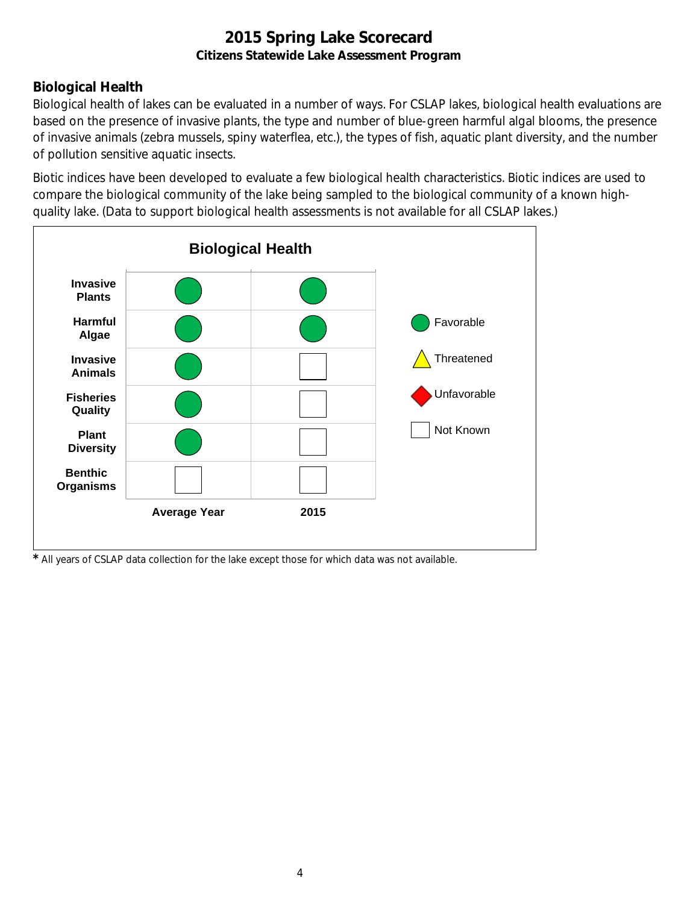## **Biological Health**

Biological health of lakes can be evaluated in a number of ways. For CSLAP lakes, biological health evaluations are based on the presence of invasive plants, the type and number of blue-green harmful algal blooms, the presence of invasive animals (zebra mussels, spiny waterflea, etc.), the types of fish, aquatic plant diversity, and the number of pollution sensitive aquatic insects.

Biotic indices have been developed to evaluate a few biological health characteristics. Biotic indices are used to compare the biological community of the lake being sampled to the biological community of a known highquality lake. (Data to support biological health assessments is not available for all CSLAP lakes.)



*\** All years of CSLAP data collection for the lake except those for which data was not available.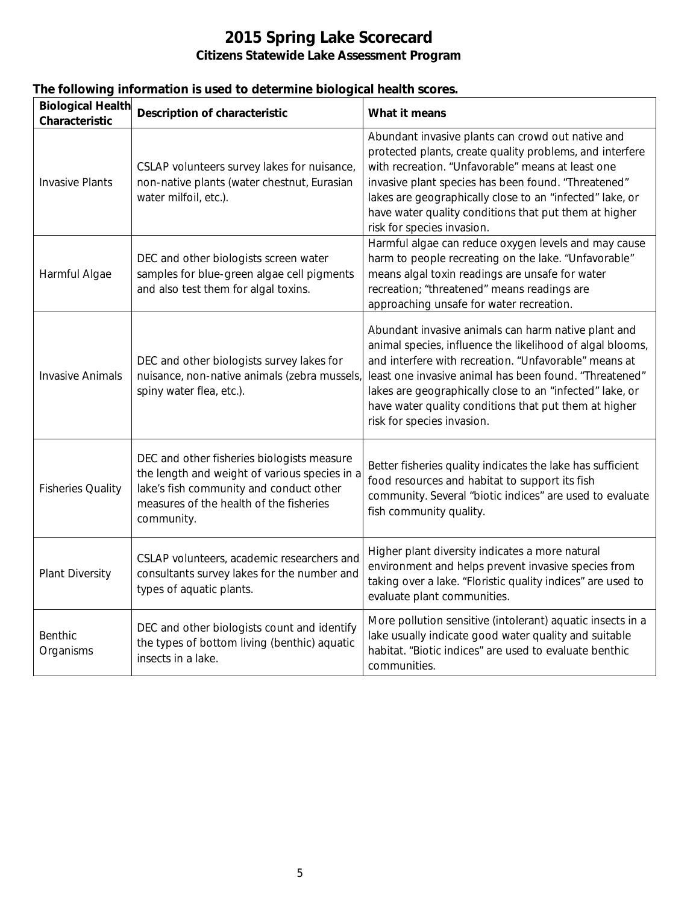|  |  |  | The following information is used to determine biological health scores. |
|--|--|--|--------------------------------------------------------------------------|
|  |  |  |                                                                          |

| <b>Biological Health</b><br>Characteristic | <b>Description of characteristic</b>                                                                                                                                                            | What it means                                                                                                                                                                                                                                                                                                                                                                          |
|--------------------------------------------|-------------------------------------------------------------------------------------------------------------------------------------------------------------------------------------------------|----------------------------------------------------------------------------------------------------------------------------------------------------------------------------------------------------------------------------------------------------------------------------------------------------------------------------------------------------------------------------------------|
| <b>Invasive Plants</b>                     | CSLAP volunteers survey lakes for nuisance,<br>non-native plants (water chestnut, Eurasian<br>water milfoil, etc.).                                                                             | Abundant invasive plants can crowd out native and<br>protected plants, create quality problems, and interfere<br>with recreation. "Unfavorable" means at least one<br>invasive plant species has been found. "Threatened"<br>lakes are geographically close to an "infected" lake, or<br>have water quality conditions that put them at higher<br>risk for species invasion.           |
| Harmful Algae                              | DEC and other biologists screen water<br>samples for blue-green algae cell pigments<br>and also test them for algal toxins.                                                                     | Harmful algae can reduce oxygen levels and may cause<br>harm to people recreating on the lake. "Unfavorable"<br>means algal toxin readings are unsafe for water<br>recreation; "threatened" means readings are<br>approaching unsafe for water recreation.                                                                                                                             |
| <b>Invasive Animals</b>                    | DEC and other biologists survey lakes for<br>nuisance, non-native animals (zebra mussels)<br>spiny water flea, etc.).                                                                           | Abundant invasive animals can harm native plant and<br>animal species, influence the likelihood of algal blooms,<br>and interfere with recreation. "Unfavorable" means at<br>least one invasive animal has been found. "Threatened"<br>lakes are geographically close to an "infected" lake, or<br>have water quality conditions that put them at higher<br>risk for species invasion. |
| <b>Fisheries Quality</b>                   | DEC and other fisheries biologists measure<br>the length and weight of various species in a<br>lake's fish community and conduct other<br>measures of the health of the fisheries<br>community. | Better fisheries quality indicates the lake has sufficient<br>food resources and habitat to support its fish<br>community. Several "biotic indices" are used to evaluate<br>fish community quality.                                                                                                                                                                                    |
| Plant Diversity                            | CSLAP volunteers, academic researchers and<br>consultants survey lakes for the number and<br>types of aquatic plants.                                                                           | Higher plant diversity indicates a more natural<br>environment and helps prevent invasive species from<br>taking over a lake. "Floristic quality indices" are used to<br>evaluate plant communities.                                                                                                                                                                                   |
| Benthic<br>Organisms                       | DEC and other biologists count and identify<br>the types of bottom living (benthic) aquatic<br>insects in a lake.                                                                               | More pollution sensitive (intolerant) aquatic insects in a<br>lake usually indicate good water quality and suitable<br>habitat. "Biotic indices" are used to evaluate benthic<br>communities.                                                                                                                                                                                          |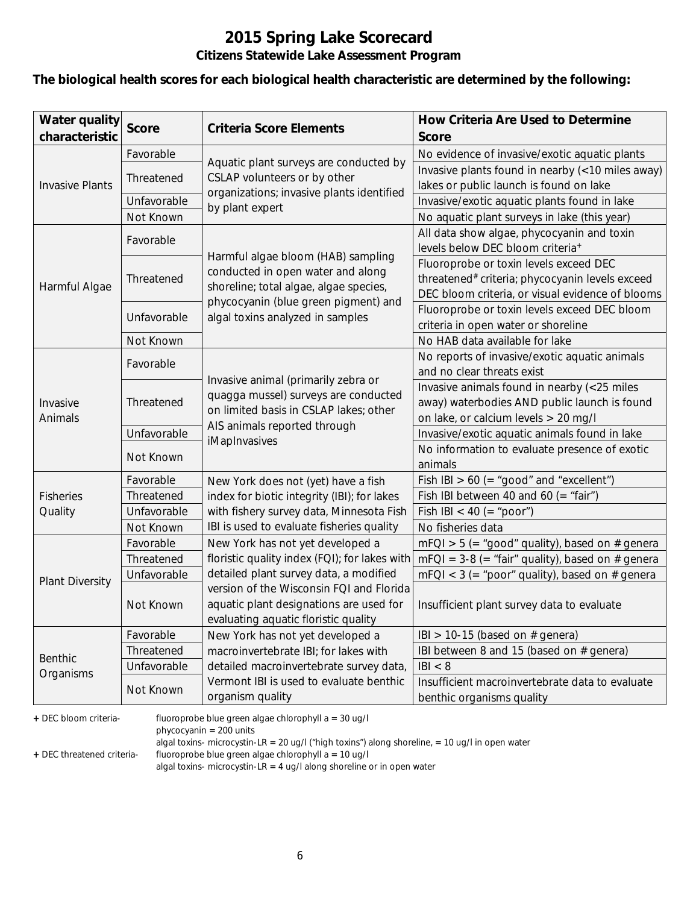#### **The biological health scores for each biological health characteristic are determined by the following:**

| <b>Water quality</b><br>characteristic | <b>Score</b> | <b>Criteria Score Elements</b>                               | How Criteria Are Used to Determine<br><b>Score</b>                           |
|----------------------------------------|--------------|--------------------------------------------------------------|------------------------------------------------------------------------------|
|                                        | Favorable    |                                                              | No evidence of invasive/exotic aquatic plants                                |
|                                        |              | Aquatic plant surveys are conducted by                       | Invasive plants found in nearby (<10 miles away)                             |
| <b>Invasive Plants</b>                 | Threatened   | CSLAP volunteers or by other                                 | lakes or public launch is found on lake                                      |
|                                        | Unfavorable  | organizations; invasive plants identified<br>by plant expert | Invasive/exotic aquatic plants found in lake                                 |
|                                        | Not Known    |                                                              | No aquatic plant surveys in lake (this year)                                 |
|                                        | Favorable    |                                                              | All data show algae, phycocyanin and toxin                                   |
|                                        |              | Harmful algae bloom (HAB) sampling                           | levels below DEC bloom criteria <sup>+</sup>                                 |
|                                        |              | conducted in open water and along                            | Fluoroprobe or toxin levels exceed DEC                                       |
| Harmful Algae                          | Threatened   | shoreline; total algae, algae species,                       | threatened# criteria; phycocyanin levels exceed                              |
|                                        |              | phycocyanin (blue green pigment) and                         | DEC bloom criteria, or visual evidence of blooms                             |
|                                        | Unfavorable  | algal toxins analyzed in samples                             | Fluoroprobe or toxin levels exceed DEC bloom                                 |
|                                        |              |                                                              | criteria in open water or shoreline                                          |
|                                        | Not Known    |                                                              | No HAB data available for lake                                               |
|                                        | Favorable    |                                                              | No reports of invasive/exotic aquatic animals                                |
|                                        |              | Invasive animal (primarily zebra or                          | and no clear threats exist                                                   |
|                                        | Threatened   | quagga mussel) surveys are conducted                         | Invasive animals found in nearby (<25 miles                                  |
| Invasive                               |              | on limited basis in CSLAP lakes; other                       | away) waterbodies AND public launch is found                                 |
| Animals                                |              | AIS animals reported through                                 | on lake, or calcium levels > 20 mg/l                                         |
|                                        | Unfavorable  | iMapInvasives                                                | Invasive/exotic aquatic animals found in lake                                |
|                                        | Not Known    |                                                              | No information to evaluate presence of exotic                                |
|                                        |              |                                                              | animals                                                                      |
|                                        | Favorable    | New York does not (yet) have a fish                          | Fish IBI $> 60$ (= "good" and "excellent")                                   |
| <b>Fisheries</b>                       | Threatened   | index for biotic integrity (IBI); for lakes                  | Fish IBI between 40 and 60 (= "fair")                                        |
| Quality                                | Unfavorable  | with fishery survey data, Minnesota Fish                     | Fish IBI < 40 (= "poor")                                                     |
|                                        | Not Known    | IBI is used to evaluate fisheries quality                    | No fisheries data                                                            |
|                                        | Favorable    | New York has not yet developed a                             | $mFQI > 5$ (= "good" quality), based on # genera                             |
|                                        | Threatened   | floristic quality index (FQI); for lakes with                | $mFQI = 3-8 (= "fair" quality)$ , based on # genera                          |
| <b>Plant Diversity</b>                 | Unfavorable  | detailed plant survey data, a modified                       | $mFQI < 3$ (= "poor" quality), based on # genera                             |
|                                        |              | version of the Wisconsin FQI and Florida                     |                                                                              |
|                                        | Not Known    | aquatic plant designations are used for                      | Insufficient plant survey data to evaluate                                   |
|                                        |              | evaluating aquatic floristic quality                         |                                                                              |
|                                        | Favorable    | New York has not yet developed a                             | IBI > 10-15 (based on $#$ genera)                                            |
| <b>Benthic</b>                         | Threatened   | macroinvertebrate IBI; for lakes with                        | IBI between 8 and 15 (based on # genera)                                     |
| Organisms                              | Unfavorable  | detailed macroinvertebrate survey data,                      | B  < 8                                                                       |
|                                        | Not Known    | Vermont IBI is used to evaluate benthic<br>organism quality  | Insufficient macroinvertebrate data to evaluate<br>benthic organisms quality |

**+** DEC bloom criteria- fluoroprobe blue green algae chlorophyll a = 30 ug/l

phycocyanin = 200 units

algal toxins- microcystin-LR = 20 ug/l ("high toxins") along shoreline, = 10 ug/l in open water

**+** DEC threatened criteria- fluoroprobe blue green algae chlorophyll a = 10 ug/l

algal toxins- microcystin-LR = 4 ug/l along shoreline or in open water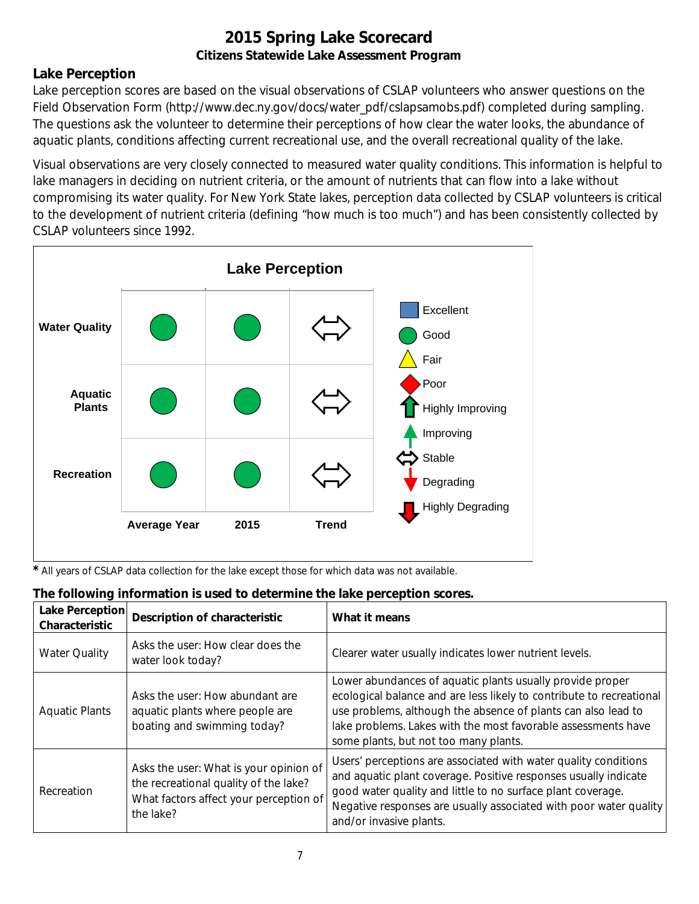### **Lake Perception**

Lake perception scores are based on the visual observations of CSLAP volunteers who answer questions on the Field Observation Form (http://www.dec.ny.gov/docs/water\_pdf/cslapsamobs.pdf) completed during sampling. The questions ask the volunteer to determine their perceptions of how clear the water looks, the abundance of aquatic plants, conditions affecting current recreational use, and the overall recreational quality of the lake.

Visual observations are very closely connected to measured water quality conditions. This information is helpful to lake managers in deciding on nutrient criteria, or the amount of nutrients that can flow into a lake without compromising its water quality. For New York State lakes, perception data collected by CSLAP volunteers is critical to the development of nutrient criteria (defining "how much is too much") and has been consistently collected by CSLAP volunteers since 1992.



*\** All years of CSLAP data collection for the lake except those for which data was not available.

| <b>Lake Perception</b><br>Characteristic | <b>Description of characteristic</b>                                                                                                   | What it means                                                                                                                                                                                                                                                                                                |
|------------------------------------------|----------------------------------------------------------------------------------------------------------------------------------------|--------------------------------------------------------------------------------------------------------------------------------------------------------------------------------------------------------------------------------------------------------------------------------------------------------------|
| <b>Water Quality</b>                     | Asks the user: How clear does the<br>water look today?                                                                                 | Clearer water usually indicates lower nutrient levels.                                                                                                                                                                                                                                                       |
| <b>Aquatic Plants</b>                    | Asks the user: How abundant are<br>aquatic plants where people are<br>boating and swimming today?                                      | Lower abundances of aquatic plants usually provide proper<br>ecological balance and are less likely to contribute to recreational<br>use problems, although the absence of plants can also lead to<br>lake problems. Lakes with the most favorable assessments have<br>some plants, but not too many plants. |
| Recreation                               | Asks the user: What is your opinion of<br>the recreational quality of the lake?<br>What factors affect your perception of<br>the lake? | Users' perceptions are associated with water quality conditions<br>and aquatic plant coverage. Positive responses usually indicate<br>good water quality and little to no surface plant coverage.<br>Negative responses are usually associated with poor water quality<br>and/or invasive plants.            |

#### **The following information is used to determine the lake perception scores.**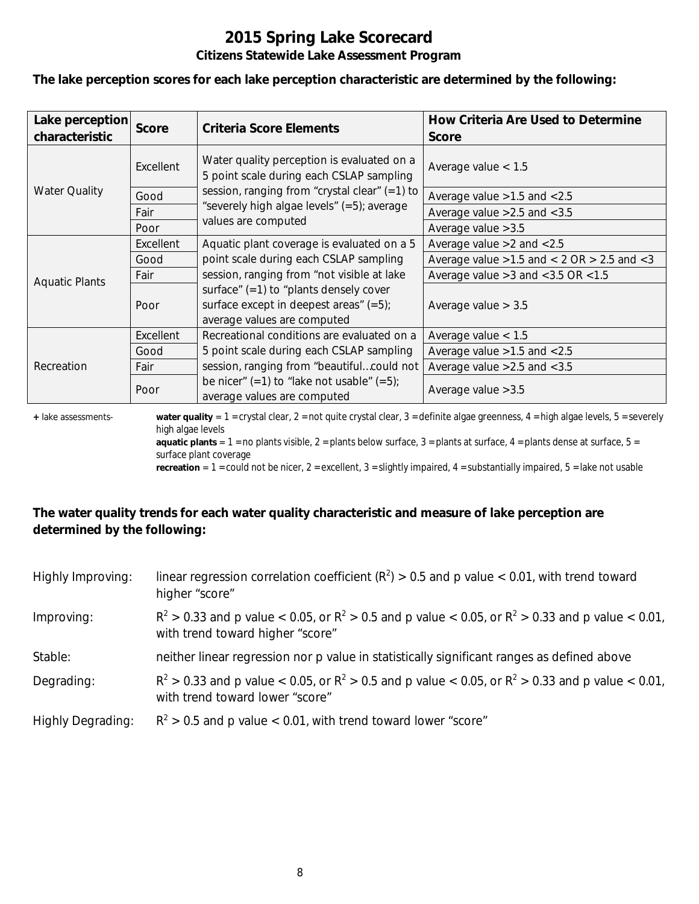**The lake perception scores for each lake perception characteristic are determined by the following:**

| Lake perception<br>characteristic | <b>Score</b> | <b>Criteria Score Elements</b>                                                                                       | How Criteria Are Used to Determine<br><b>Score</b>  |
|-----------------------------------|--------------|----------------------------------------------------------------------------------------------------------------------|-----------------------------------------------------|
|                                   | Excellent    | Water quality perception is evaluated on a<br>5 point scale during each CSLAP sampling                               | Average value $< 1.5$                               |
| <b>Water Quality</b>              | Good         | session, ranging from "crystal clear" $(=1)$ to                                                                      | Average value $>1.5$ and $< 2.5$                    |
|                                   | Fair         | "severely high algae levels" (=5); average                                                                           | Average value $>2.5$ and $< 3.5$                    |
|                                   | Poor         | values are computed                                                                                                  | Average value $>3.5$                                |
|                                   | Excellent    | Aquatic plant coverage is evaluated on a 5                                                                           | Average value $>2$ and $< 2.5$                      |
|                                   | Good         | point scale during each CSLAP sampling                                                                               | Average value $>1.5$ and $< 2$ OR $> 2.5$ and $< 3$ |
| <b>Aquatic Plants</b>             | Fair         | session, ranging from "not visible at lake                                                                           | Average value $>3$ and $<$ 3.5 OR $<$ 1.5           |
|                                   | Poor         | surface" $(=1)$ to "plants densely cover<br>surface except in deepest areas" $(=5)$ ;<br>average values are computed | Average value $> 3.5$                               |
|                                   | Excellent    | Recreational conditions are evaluated on a                                                                           | Average value $< 1.5$                               |
| Recreation                        | Good         | 5 point scale during each CSLAP sampling                                                                             | Average value $>1.5$ and $< 2.5$                    |
|                                   | Fair         | session, ranging from "beautifulcould not                                                                            | Average value $>2.5$ and $< 3.5$                    |
|                                   | Poor         | be nicer" $(=1)$ to "lake not usable" $(=5)$ ;<br>average values are computed                                        | Average value $>3.5$                                |

**+** lake assessments- **water quality** = 1 = crystal clear, 2 = not quite crystal clear, 3 = definite algae greenness, 4 = high algae levels, 5 = severely high algae levels

**aquatic plants** =  $1$  = no plants visible,  $2$  = plants below surface,  $3$  = plants at surface,  $4$  = plants dense at surface,  $5$  = surface plant coverage

**recreation** = 1 = could not be nicer, 2 = excellent, 3 = slightly impaired, 4 = substantially impaired, 5 = lake not usable

### **The water quality trends for each water quality characteristic and measure of lake perception are determined by the following:**

| Highly Improving:        | linear regression correlation coefficient ( $R^2$ ) > 0.5 and p value < 0.01, with trend toward<br>higher "score"                           |
|--------------------------|---------------------------------------------------------------------------------------------------------------------------------------------|
| Improving:               | $R^2 > 0.33$ and p value < 0.05, or $R^2 > 0.5$ and p value < 0.05, or $R^2 > 0.33$ and p value < 0.01,<br>with trend toward higher "score" |
| Stable:                  | neither linear regression nor p value in statistically significant ranges as defined above                                                  |
| Degrading:               | $R^2 > 0.33$ and p value < 0.05, or $R^2 > 0.5$ and p value < 0.05, or $R^2 > 0.33$ and p value < 0.01,<br>with trend toward lower "score"  |
| <b>Highly Degrading:</b> | $R^2 > 0.5$ and p value < 0.01, with trend toward lower "score"                                                                             |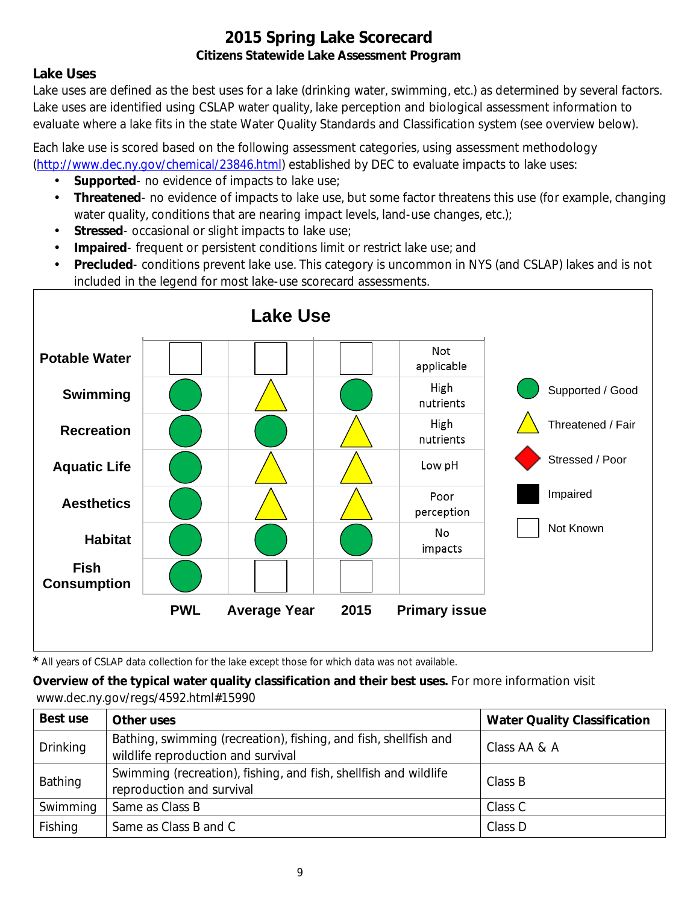### **Lake Uses**

Lake uses are defined as the best uses for a lake (drinking water, swimming, etc.) as determined by several factors. Lake uses are identified using CSLAP water quality, lake perception and biological assessment information to evaluate where a lake fits in the state Water Quality Standards and Classification system (see overview below).

Each lake use is scored based on the following assessment categories, using assessment methodology [\(http://www.dec.ny.gov/chemical/23846.html\)](http://www.dec.ny.gov/chemical/23846.html) established by DEC to evaluate impacts to lake uses:

- **Supported** no evidence of impacts to lake use;
- $\mathcal{L}^{\mathcal{L}}$ **Threatened**- no evidence of impacts to lake use, but some factor threatens this use (for example, changing water quality, conditions that are nearing impact levels, land-use changes, etc.);
- **Stressed** occasional or slight impacts to lake use;  $\mathbf{r}$
- **Impaired** frequent or persistent conditions limit or restrict lake use; and  $\mathbf{r}$
- **Precluded** conditions prevent lake use. This category is uncommon in NYS (and CSLAP) lakes and is not included in the legend for most lake-use scorecard assessments.



*\** All years of CSLAP data collection for the lake except those for which data was not available.

**Overview of the typical water quality classification and their best uses.** For more information visit www.dec.ny.gov/regs/4592.html#15990

| Best use                                                                                                 | Other uses                                                                                             | <b>Water Quality Classification</b> |
|----------------------------------------------------------------------------------------------------------|--------------------------------------------------------------------------------------------------------|-------------------------------------|
| <b>Drinking</b>                                                                                          | Bathing, swimming (recreation), fishing, and fish, shellfish and<br>wildlife reproduction and survival | Class AA & A                        |
| Swimming (recreation), fishing, and fish, shellfish and wildlife<br>Bathing<br>reproduction and survival |                                                                                                        | Class B                             |
| Swimming                                                                                                 | Same as Class B                                                                                        | Class C                             |
| Fishing                                                                                                  | Same as Class B and C                                                                                  | Class D                             |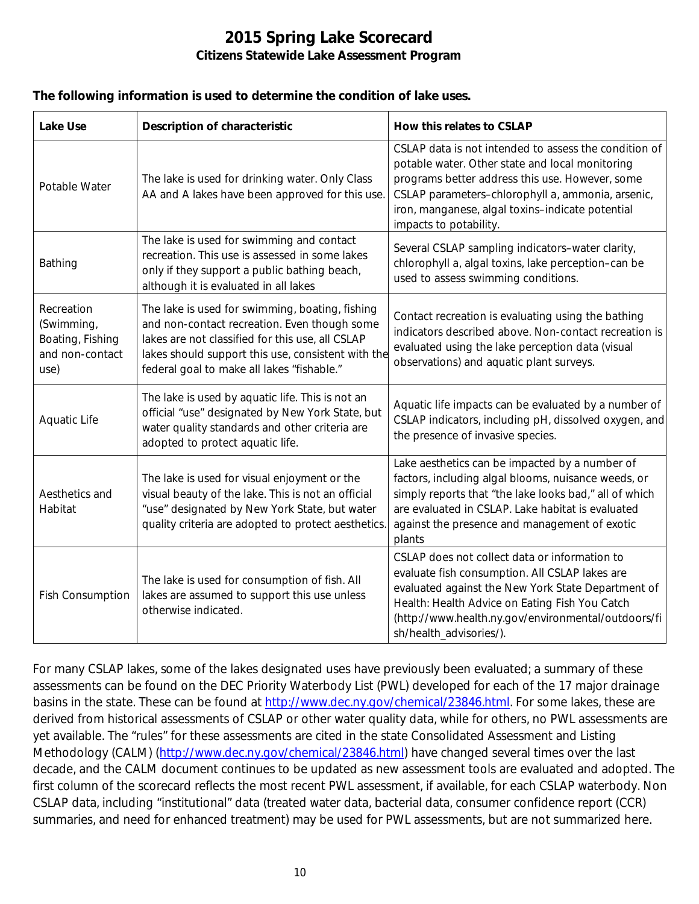#### **The following information is used to determine the condition of lake uses.**

| <b>Lake Use</b>                                                         | <b>Description of characteristic</b>                                                                                                                                                                                                                    | How this relates to CSLAP                                                                                                                                                                                                                                                                      |  |
|-------------------------------------------------------------------------|---------------------------------------------------------------------------------------------------------------------------------------------------------------------------------------------------------------------------------------------------------|------------------------------------------------------------------------------------------------------------------------------------------------------------------------------------------------------------------------------------------------------------------------------------------------|--|
| Potable Water                                                           | The lake is used for drinking water. Only Class<br>AA and A lakes have been approved for this use.                                                                                                                                                      | CSLAP data is not intended to assess the condition of<br>potable water. Other state and local monitoring<br>programs better address this use. However, some<br>CSLAP parameters-chlorophyll a, ammonia, arsenic,<br>iron, manganese, algal toxins-indicate potential<br>impacts to potability. |  |
| Bathing                                                                 | The lake is used for swimming and contact<br>recreation. This use is assessed in some lakes<br>only if they support a public bathing beach,<br>although it is evaluated in all lakes                                                                    | Several CSLAP sampling indicators-water clarity,<br>chlorophyll a, algal toxins, lake perception-can be<br>used to assess swimming conditions.                                                                                                                                                 |  |
| Recreation<br>(Swimming,<br>Boating, Fishing<br>and non-contact<br>use) | The lake is used for swimming, boating, fishing<br>and non-contact recreation. Even though some<br>lakes are not classified for this use, all CSLAP<br>lakes should support this use, consistent with the<br>federal goal to make all lakes "fishable." | Contact recreation is evaluating using the bathing<br>indicators described above. Non-contact recreation is<br>evaluated using the lake perception data (visual<br>observations) and aquatic plant surveys.                                                                                    |  |
| Aquatic Life                                                            | The lake is used by aquatic life. This is not an<br>official "use" designated by New York State, but<br>water quality standards and other criteria are<br>adopted to protect aquatic life.                                                              | Aquatic life impacts can be evaluated by a number of<br>CSLAP indicators, including pH, dissolved oxygen, and<br>the presence of invasive species.                                                                                                                                             |  |
| Aesthetics and<br>Habitat                                               | The lake is used for visual enjoyment or the<br>visual beauty of the lake. This is not an official<br>"use" designated by New York State, but water<br>quality criteria are adopted to protect aesthetics.                                              | Lake aesthetics can be impacted by a number of<br>factors, including algal blooms, nuisance weeds, or<br>simply reports that "the lake looks bad," all of which<br>are evaluated in CSLAP. Lake habitat is evaluated<br>against the presence and management of exotic<br>plants                |  |
| <b>Fish Consumption</b>                                                 | The lake is used for consumption of fish. All<br>lakes are assumed to support this use unless<br>otherwise indicated.                                                                                                                                   | CSLAP does not collect data or information to<br>evaluate fish consumption. All CSLAP lakes are<br>evaluated against the New York State Department of<br>Health: Health Advice on Eating Fish You Catch<br>(http://www.health.ny.gov/environmental/outdoors/fi<br>sh/health_advisories/).      |  |

For many CSLAP lakes, some of the lakes designated uses have previously been evaluated; a summary of these assessments can be found on the DEC Priority Waterbody List (PWL) developed for each of the 17 major drainage basins in the state. These can be found at [http://www.dec.ny.gov/chemical/23846.html.](http://www.dec.ny.gov/chemical/23846.html) For some lakes, these are derived from historical assessments of CSLAP or other water quality data, while for others, no PWL assessments are yet available. The "rules" for these assessments are cited in the state Consolidated Assessment and Listing Methodology (CALM) [\(http://www.dec.ny.gov/chemical/23846.html\)](http://www.dec.ny.gov/chemical/23846.html) have changed several times over the last decade, and the CALM document continues to be updated as new assessment tools are evaluated and adopted. The first column of the scorecard reflects the most recent PWL assessment, if available, for each CSLAP waterbody. Non CSLAP data, including "institutional" data (treated water data, bacterial data, consumer confidence report (CCR) summaries, and need for enhanced treatment) may be used for PWL assessments, but are not summarized here.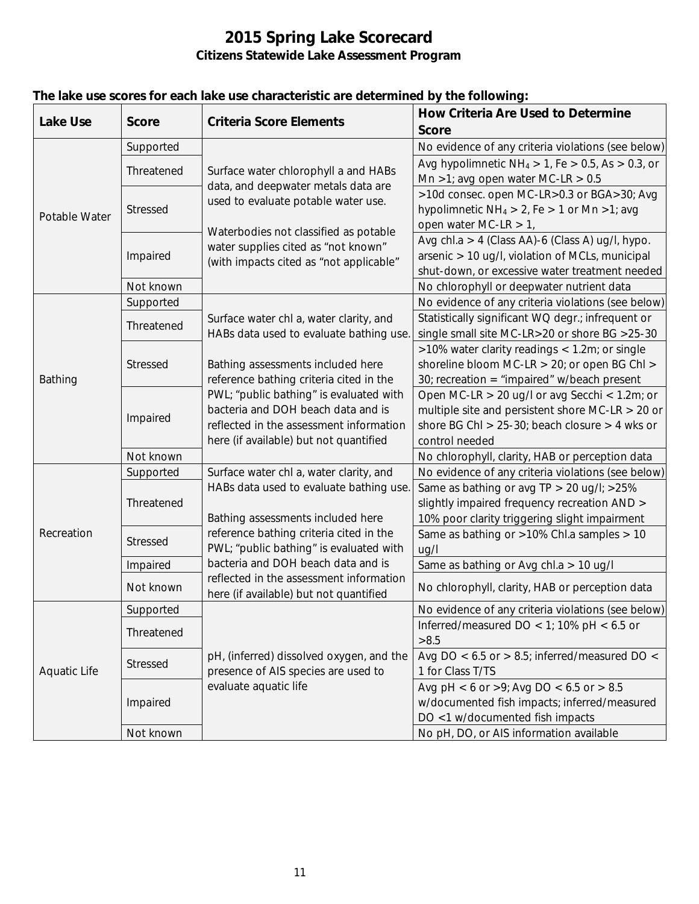| <b>Lake Use</b>     | <b>Score</b>    | <b>Criteria Score Elements</b>                                                                                     | <b>How Criteria Are Used to Determine</b>                                                                 |
|---------------------|-----------------|--------------------------------------------------------------------------------------------------------------------|-----------------------------------------------------------------------------------------------------------|
|                     |                 |                                                                                                                    | <b>Score</b>                                                                                              |
| Potable Water       | Supported       |                                                                                                                    | No evidence of any criteria violations (see below)                                                        |
|                     | Threatened      | Surface water chlorophyll a and HABs<br>data, and deepwater metals data are<br>used to evaluate potable water use. | Avg hypolimnetic $NH_4 > 1$ , Fe $> 0.5$ , As $> 0.3$ , or                                                |
|                     |                 |                                                                                                                    | Mn >1; avg open water MC-LR > $0.5$                                                                       |
|                     | Stressed        |                                                                                                                    | >10d consec. open MC-LR>0.3 or BGA>30; Avg                                                                |
|                     |                 |                                                                                                                    | hypolimnetic $NH_4 > 2$ , Fe $> 1$ or Mn $>1$ ; avg                                                       |
|                     |                 | Waterbodies not classified as potable                                                                              | open water MC-LR $> 1$ ,                                                                                  |
|                     | Impaired        | water supplies cited as "not known"                                                                                | Avg chl.a > 4 (Class AA)-6 (Class A) ug/l, hypo.                                                          |
|                     |                 | (with impacts cited as "not applicable"                                                                            | arsenic > 10 ug/l, violation of MCLs, municipal                                                           |
|                     |                 |                                                                                                                    | shut-down, or excessive water treatment needed                                                            |
|                     | Not known       |                                                                                                                    | No chlorophyll or deepwater nutrient data                                                                 |
|                     | Supported       |                                                                                                                    | No evidence of any criteria violations (see below)                                                        |
|                     | Threatened      | Surface water chl a, water clarity, and                                                                            | Statistically significant WQ degr.; infrequent or                                                         |
|                     |                 | HABs data used to evaluate bathing use.                                                                            | single small site MC-LR>20 or shore BG >25-30                                                             |
|                     | <b>Stressed</b> |                                                                                                                    | >10% water clarity readings < 1.2m; or single                                                             |
|                     |                 | Bathing assessments included here                                                                                  | shoreline bloom MC-LR > 20; or open BG Chl >                                                              |
| Bathing             |                 | reference bathing criteria cited in the                                                                            | 30; recreation = "impaired" w/beach present                                                               |
|                     | Impaired        | PWL; "public bathing" is evaluated with<br>bacteria and DOH beach data and is                                      | Open MC-LR $>$ 20 ug/l or avg Secchi < 1.2m; or                                                           |
|                     |                 | reflected in the assessment information                                                                            | multiple site and persistent shore MC-LR $>$ 20 or<br>shore BG ChI $> 25-30$ ; beach closure $> 4$ wks or |
|                     |                 | here (if available) but not quantified                                                                             | control needed                                                                                            |
|                     | Not known       |                                                                                                                    | No chlorophyll, clarity, HAB or perception data                                                           |
|                     | Supported       | Surface water chl a, water clarity, and                                                                            | No evidence of any criteria violations (see below)                                                        |
|                     |                 | HABs data used to evaluate bathing use.                                                                            | Same as bathing or avg TP > 20 ug/l; >25%                                                                 |
|                     | Threatened      |                                                                                                                    | slightly impaired frequency recreation AND >                                                              |
| Recreation          |                 | Bathing assessments included here                                                                                  | 10% poor clarity triggering slight impairment                                                             |
|                     | <b>Stressed</b> | reference bathing criteria cited in the                                                                            | Same as bathing or >10% Chl.a samples > 10                                                                |
|                     |                 | PWL; "public bathing" is evaluated with                                                                            | ug/l                                                                                                      |
|                     | Impaired        | bacteria and DOH beach data and is                                                                                 | Same as bathing or Avg chl.a > 10 ug/l                                                                    |
|                     |                 | reflected in the assessment information                                                                            |                                                                                                           |
|                     | Not known       | here (if available) but not quantified                                                                             | No chlorophyll, clarity, HAB or perception data                                                           |
|                     | Supported       |                                                                                                                    | No evidence of any criteria violations (see below)                                                        |
|                     | Threatened      |                                                                                                                    | Inferred/measured DO < 1; 10% pH < $6.5$ or                                                               |
|                     |                 |                                                                                                                    | >8.5                                                                                                      |
| <b>Aquatic Life</b> | Stressed        | pH, (inferred) dissolved oxygen, and the                                                                           | Avg DO < $6.5$ or > 8.5; inferred/measured DO <                                                           |
|                     |                 | presence of AIS species are used to                                                                                | 1 for Class T/TS                                                                                          |
|                     | Impaired        | evaluate aquatic life                                                                                              | Avg pH < 6 or >9; Avg DO < 6.5 or > 8.5                                                                   |
|                     |                 |                                                                                                                    | w/documented fish impacts; inferred/measured                                                              |
|                     |                 |                                                                                                                    | DO <1 w/documented fish impacts                                                                           |
|                     | Not known       |                                                                                                                    | No pH, DO, or AIS information available                                                                   |

### **The lake use scores for each lake use characteristic are determined by the following:**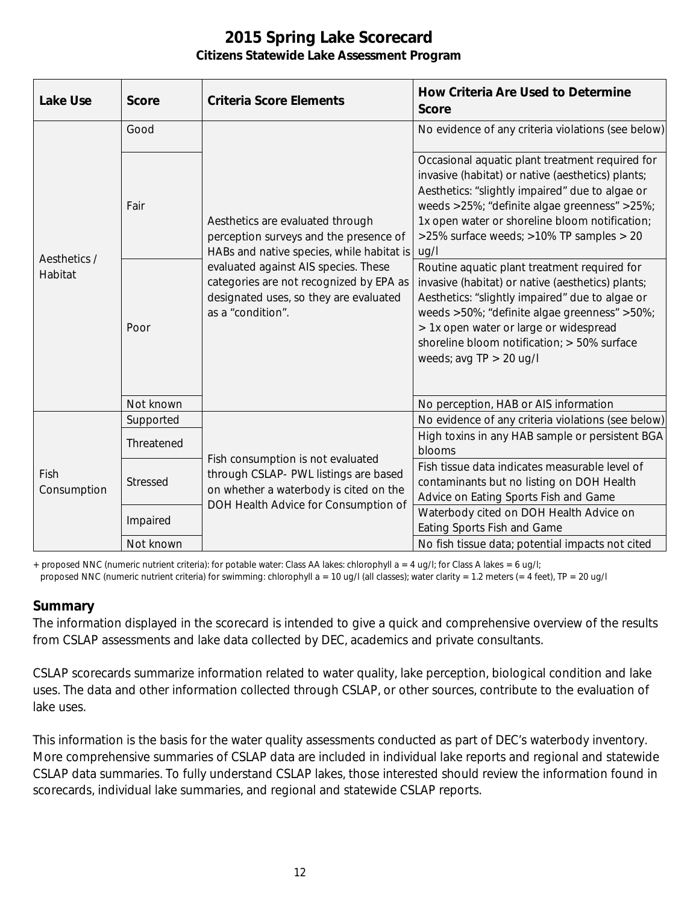| <b>Lake Use</b>         | <b>Score</b> | <b>Criteria Score Elements</b>                                                                                                                                                                                                                                            | <b>How Criteria Are Used to Determine</b><br><b>Score</b>                                                                                                                                                                                                                                                                  |
|-------------------------|--------------|---------------------------------------------------------------------------------------------------------------------------------------------------------------------------------------------------------------------------------------------------------------------------|----------------------------------------------------------------------------------------------------------------------------------------------------------------------------------------------------------------------------------------------------------------------------------------------------------------------------|
| Aesthetics /<br>Habitat | Good         | Aesthetics are evaluated through<br>perception surveys and the presence of<br>HABs and native species, while habitat is<br>evaluated against AIS species. These<br>categories are not recognized by EPA as<br>designated uses, so they are evaluated<br>as a "condition". | No evidence of any criteria violations (see below)                                                                                                                                                                                                                                                                         |
|                         | Fair         |                                                                                                                                                                                                                                                                           | Occasional aquatic plant treatment required for<br>invasive (habitat) or native (aesthetics) plants;<br>Aesthetics: "slightly impaired" due to algae or<br>weeds >25%; "definite algae greenness" >25%;<br>1x open water or shoreline bloom notification;<br>>25% surface weeds; >10% TP samples > 20<br>ug/l              |
|                         | Poor         |                                                                                                                                                                                                                                                                           | Routine aquatic plant treatment required for<br>invasive (habitat) or native (aesthetics) plants;<br>Aesthetics: "slightly impaired" due to algae or<br>weeds >50%; "definite algae greenness" >50%;<br>> 1x open water or large or widespread<br>shoreline bloom notification; > 50% surface<br>weeds; avg $TP > 20$ ug/l |
|                         | Not known    |                                                                                                                                                                                                                                                                           | No perception, HAB or AIS information                                                                                                                                                                                                                                                                                      |
| Fish<br>Consumption     | Supported    | Fish consumption is not evaluated<br>through CSLAP- PWL listings are based<br>on whether a waterbody is cited on the<br>DOH Health Advice for Consumption of                                                                                                              | No evidence of any criteria violations (see below)<br>High toxins in any HAB sample or persistent BGA                                                                                                                                                                                                                      |
|                         | Threatened   |                                                                                                                                                                                                                                                                           | blooms                                                                                                                                                                                                                                                                                                                     |
|                         | Stressed     |                                                                                                                                                                                                                                                                           | Fish tissue data indicates measurable level of<br>contaminants but no listing on DOH Health<br>Advice on Eating Sports Fish and Game                                                                                                                                                                                       |
|                         | Impaired     |                                                                                                                                                                                                                                                                           | Waterbody cited on DOH Health Advice on<br>Eating Sports Fish and Game                                                                                                                                                                                                                                                     |
|                         | Not known    |                                                                                                                                                                                                                                                                           | No fish tissue data; potential impacts not cited                                                                                                                                                                                                                                                                           |

+ proposed NNC (numeric nutrient criteria): for potable water: Class AA lakes: chlorophyll a = 4 ug/l; for Class A lakes = 6 ug/l;

#### proposed NNC (numeric nutrient criteria) for swimming: chlorophyll a = 10 ug/l (all classes); water clarity = 1.2 meters (= 4 feet), TP = 20 ug/l

#### **Summary**

The information displayed in the scorecard is intended to give a quick and comprehensive overview of the results from CSLAP assessments and lake data collected by DEC, academics and private consultants.

CSLAP scorecards summarize information related to water quality, lake perception, biological condition and lake uses. The data and other information collected through CSLAP, or other sources, contribute to the evaluation of lake uses.

This information is the basis for the water quality assessments conducted as part of DEC's waterbody inventory. More comprehensive summaries of CSLAP data are included in individual lake reports and regional and statewide CSLAP data summaries. To fully understand CSLAP lakes, those interested should review the information found in scorecards, individual lake summaries, and regional and statewide CSLAP reports.